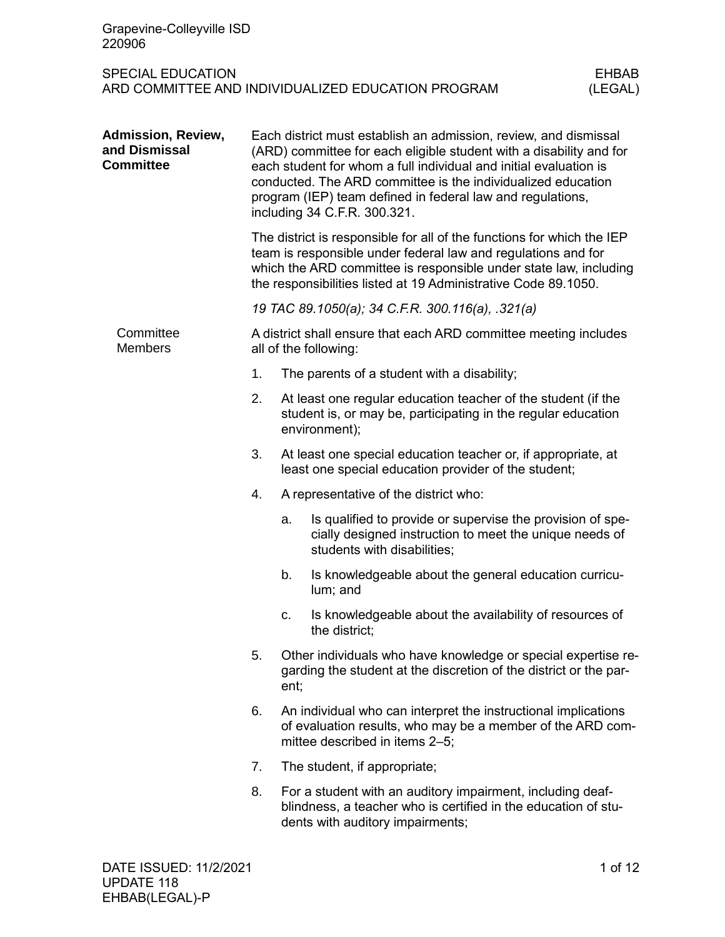| Grapevine-Colleyville ISD<br>220906                     |                                                                                                                                                                                                                                                                                                                                                                            |      |                                                                                                                                                                                                                                                                                |  |  |
|---------------------------------------------------------|----------------------------------------------------------------------------------------------------------------------------------------------------------------------------------------------------------------------------------------------------------------------------------------------------------------------------------------------------------------------------|------|--------------------------------------------------------------------------------------------------------------------------------------------------------------------------------------------------------------------------------------------------------------------------------|--|--|
| <b>SPECIAL EDUCATION</b>                                | <b>EHBAB</b><br>ARD COMMITTEE AND INDIVIDUALIZED EDUCATION PROGRAM<br>(LEGAL)                                                                                                                                                                                                                                                                                              |      |                                                                                                                                                                                                                                                                                |  |  |
| Admission, Review,<br>and Dismissal<br><b>Committee</b> | Each district must establish an admission, review, and dismissal<br>(ARD) committee for each eligible student with a disability and for<br>each student for whom a full individual and initial evaluation is<br>conducted. The ARD committee is the individualized education<br>program (IEP) team defined in federal law and regulations,<br>including 34 C.F.R. 300.321. |      |                                                                                                                                                                                                                                                                                |  |  |
|                                                         |                                                                                                                                                                                                                                                                                                                                                                            |      | The district is responsible for all of the functions for which the IEP<br>team is responsible under federal law and regulations and for<br>which the ARD committee is responsible under state law, including<br>the responsibilities listed at 19 Administrative Code 89.1050. |  |  |
|                                                         | 19 TAC 89.1050(a); 34 C.F.R. 300.116(a), .321(a)                                                                                                                                                                                                                                                                                                                           |      |                                                                                                                                                                                                                                                                                |  |  |
| Committee<br><b>Members</b>                             | A district shall ensure that each ARD committee meeting includes<br>all of the following:                                                                                                                                                                                                                                                                                  |      |                                                                                                                                                                                                                                                                                |  |  |
|                                                         | 1.                                                                                                                                                                                                                                                                                                                                                                         |      | The parents of a student with a disability;                                                                                                                                                                                                                                    |  |  |
|                                                         | 2.                                                                                                                                                                                                                                                                                                                                                                         |      | At least one regular education teacher of the student (if the<br>student is, or may be, participating in the regular education<br>environment);                                                                                                                                |  |  |
|                                                         | 3.                                                                                                                                                                                                                                                                                                                                                                         |      | At least one special education teacher or, if appropriate, at<br>least one special education provider of the student;                                                                                                                                                          |  |  |
|                                                         | 4.                                                                                                                                                                                                                                                                                                                                                                         |      | A representative of the district who:                                                                                                                                                                                                                                          |  |  |
|                                                         |                                                                                                                                                                                                                                                                                                                                                                            | a.   | Is qualified to provide or supervise the provision of spe-<br>cially designed instruction to meet the unique needs of<br>students with disabilities;                                                                                                                           |  |  |
|                                                         |                                                                                                                                                                                                                                                                                                                                                                            | b.   | Is knowledgeable about the general education curricu-<br>lum; and                                                                                                                                                                                                              |  |  |
|                                                         |                                                                                                                                                                                                                                                                                                                                                                            | c.   | Is knowledgeable about the availability of resources of<br>the district;                                                                                                                                                                                                       |  |  |
|                                                         | 5.                                                                                                                                                                                                                                                                                                                                                                         | ent; | Other individuals who have knowledge or special expertise re-<br>garding the student at the discretion of the district or the par-                                                                                                                                             |  |  |
|                                                         | 6.                                                                                                                                                                                                                                                                                                                                                                         |      | An individual who can interpret the instructional implications<br>of evaluation results, who may be a member of the ARD com-<br>mittee described in items 2-5;                                                                                                                 |  |  |
|                                                         | 7.                                                                                                                                                                                                                                                                                                                                                                         |      | The student, if appropriate;                                                                                                                                                                                                                                                   |  |  |
|                                                         | 8.                                                                                                                                                                                                                                                                                                                                                                         |      | For a student with an auditory impairment, including deaf-<br>blindness, a teacher who is certified in the education of stu-<br>dents with auditory impairments;                                                                                                               |  |  |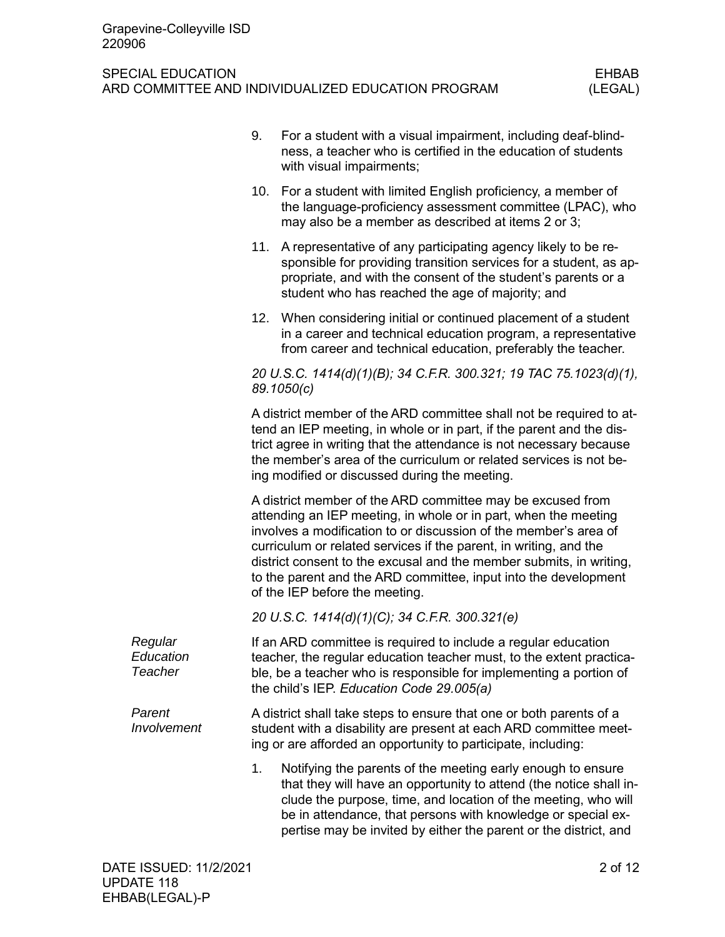|  |                                 | 9.                                                                                                                                                                                                                                                                                                                                        | For a student with a visual impairment, including deaf-blind-<br>ness, a teacher who is certified in the education of students<br>with visual impairments;                                                                                                                                                                                                                                                                                         |  |  |  |
|--|---------------------------------|-------------------------------------------------------------------------------------------------------------------------------------------------------------------------------------------------------------------------------------------------------------------------------------------------------------------------------------------|----------------------------------------------------------------------------------------------------------------------------------------------------------------------------------------------------------------------------------------------------------------------------------------------------------------------------------------------------------------------------------------------------------------------------------------------------|--|--|--|
|  |                                 |                                                                                                                                                                                                                                                                                                                                           | 10. For a student with limited English proficiency, a member of<br>the language-proficiency assessment committee (LPAC), who<br>may also be a member as described at items 2 or 3;                                                                                                                                                                                                                                                                 |  |  |  |
|  |                                 |                                                                                                                                                                                                                                                                                                                                           | 11. A representative of any participating agency likely to be re-<br>sponsible for providing transition services for a student, as ap-<br>propriate, and with the consent of the student's parents or a<br>student who has reached the age of majority; and                                                                                                                                                                                        |  |  |  |
|  |                                 |                                                                                                                                                                                                                                                                                                                                           | 12. When considering initial or continued placement of a student<br>in a career and technical education program, a representative<br>from career and technical education, preferably the teacher.                                                                                                                                                                                                                                                  |  |  |  |
|  |                                 |                                                                                                                                                                                                                                                                                                                                           | 20 U.S.C. 1414(d)(1)(B); 34 C.F.R. 300.321; 19 TAC 75.1023(d)(1),<br>89.1050(c)                                                                                                                                                                                                                                                                                                                                                                    |  |  |  |
|  |                                 | A district member of the ARD committee shall not be required to at-<br>tend an IEP meeting, in whole or in part, if the parent and the dis-<br>trict agree in writing that the attendance is not necessary because<br>the member's area of the curriculum or related services is not be-<br>ing modified or discussed during the meeting. |                                                                                                                                                                                                                                                                                                                                                                                                                                                    |  |  |  |
|  |                                 |                                                                                                                                                                                                                                                                                                                                           | A district member of the ARD committee may be excused from<br>attending an IEP meeting, in whole or in part, when the meeting<br>involves a modification to or discussion of the member's area of<br>curriculum or related services if the parent, in writing, and the<br>district consent to the excusal and the member submits, in writing,<br>to the parent and the ARD committee, input into the development<br>of the IEP before the meeting. |  |  |  |
|  |                                 |                                                                                                                                                                                                                                                                                                                                           | 20 U.S.C. 1414(d)(1)(C); 34 C.F.R. 300.321(e)                                                                                                                                                                                                                                                                                                                                                                                                      |  |  |  |
|  | Regular<br>Education<br>Teacher |                                                                                                                                                                                                                                                                                                                                           | If an ARD committee is required to include a regular education<br>teacher, the regular education teacher must, to the extent practica-<br>ble, be a teacher who is responsible for implementing a portion of<br>the child's IEP. Education Code 29.005(a)                                                                                                                                                                                          |  |  |  |
|  | Parent<br>Involvement           |                                                                                                                                                                                                                                                                                                                                           | A district shall take steps to ensure that one or both parents of a<br>student with a disability are present at each ARD committee meet-<br>ing or are afforded an opportunity to participate, including:                                                                                                                                                                                                                                          |  |  |  |
|  |                                 | 1.                                                                                                                                                                                                                                                                                                                                        | Notifying the parents of the meeting early enough to ensure<br>that they will have an opportunity to attend (the notice shall in-<br>clude the purpose, time, and location of the meeting, who will<br>be in attendance, that persons with knowledge or special ex-<br>pertise may be invited by either the parent or the district, and                                                                                                            |  |  |  |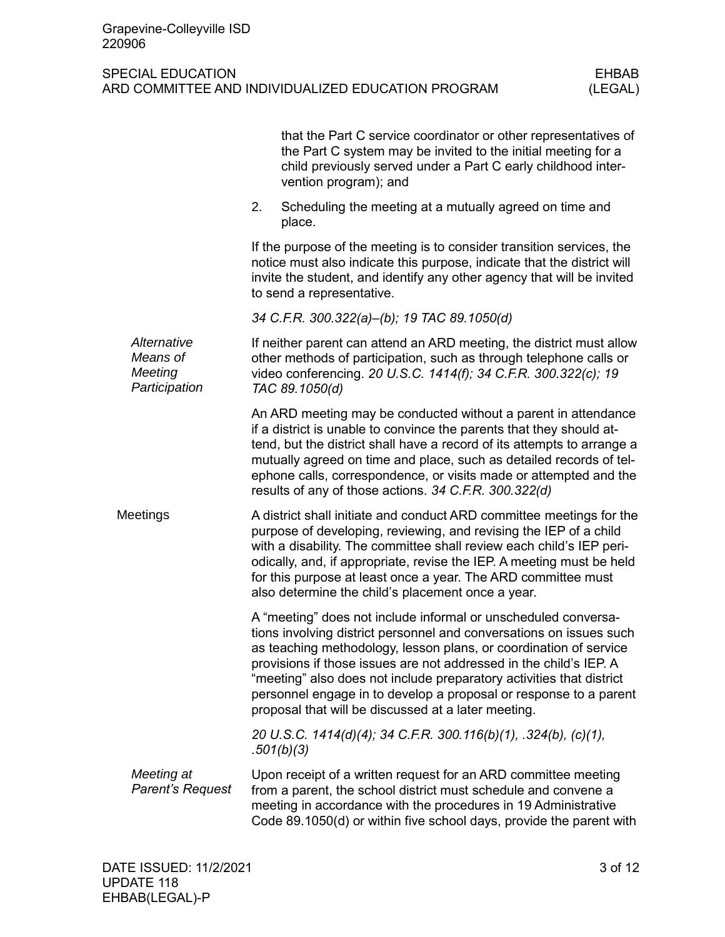|                                                     | that the Part C service coordinator or other representatives of<br>the Part C system may be invited to the initial meeting for a<br>child previously served under a Part C early childhood inter-<br>vention program); and                                                                                                                                                                                                                                                           |
|-----------------------------------------------------|--------------------------------------------------------------------------------------------------------------------------------------------------------------------------------------------------------------------------------------------------------------------------------------------------------------------------------------------------------------------------------------------------------------------------------------------------------------------------------------|
|                                                     | 2.<br>Scheduling the meeting at a mutually agreed on time and<br>place.                                                                                                                                                                                                                                                                                                                                                                                                              |
|                                                     | If the purpose of the meeting is to consider transition services, the<br>notice must also indicate this purpose, indicate that the district will<br>invite the student, and identify any other agency that will be invited<br>to send a representative.                                                                                                                                                                                                                              |
|                                                     | 34 C.F.R. 300.322(a)-(b); 19 TAC 89.1050(d)                                                                                                                                                                                                                                                                                                                                                                                                                                          |
| Alternative<br>Means of<br>Meeting<br>Participation | If neither parent can attend an ARD meeting, the district must allow<br>other methods of participation, such as through telephone calls or<br>video conferencing. 20 U.S.C. 1414(f); 34 C.F.R. 300.322(c); 19<br>TAC 89.1050(d)                                                                                                                                                                                                                                                      |
|                                                     | An ARD meeting may be conducted without a parent in attendance<br>if a district is unable to convince the parents that they should at-<br>tend, but the district shall have a record of its attempts to arrange a<br>mutually agreed on time and place, such as detailed records of tel-<br>ephone calls, correspondence, or visits made or attempted and the<br>results of any of those actions. 34 C.F.R. 300.322(d)                                                               |
| Meetings                                            | A district shall initiate and conduct ARD committee meetings for the<br>purpose of developing, reviewing, and revising the IEP of a child<br>with a disability. The committee shall review each child's IEP peri-<br>odically, and, if appropriate, revise the IEP. A meeting must be held<br>for this purpose at least once a year. The ARD committee must<br>also determine the child's placement once a year.                                                                     |
|                                                     | A "meeting" does not include informal or unscheduled conversa-<br>tions involving district personnel and conversations on issues such<br>as teaching methodology, lesson plans, or coordination of service<br>provisions if those issues are not addressed in the child's IEP. A<br>"meeting" also does not include preparatory activities that district<br>personnel engage in to develop a proposal or response to a parent<br>proposal that will be discussed at a later meeting. |
|                                                     | 20 U.S.C. 1414(d)(4); 34 C.F.R. 300.116(b)(1), .324(b), (c)(1),<br>.501(b)(3)                                                                                                                                                                                                                                                                                                                                                                                                        |
| Meeting at<br>Parent's Request                      | Upon receipt of a written request for an ARD committee meeting<br>from a parent, the school district must schedule and convene a<br>meeting in accordance with the procedures in 19 Administrative<br>Code 89.1050(d) or within five school days, provide the parent with                                                                                                                                                                                                            |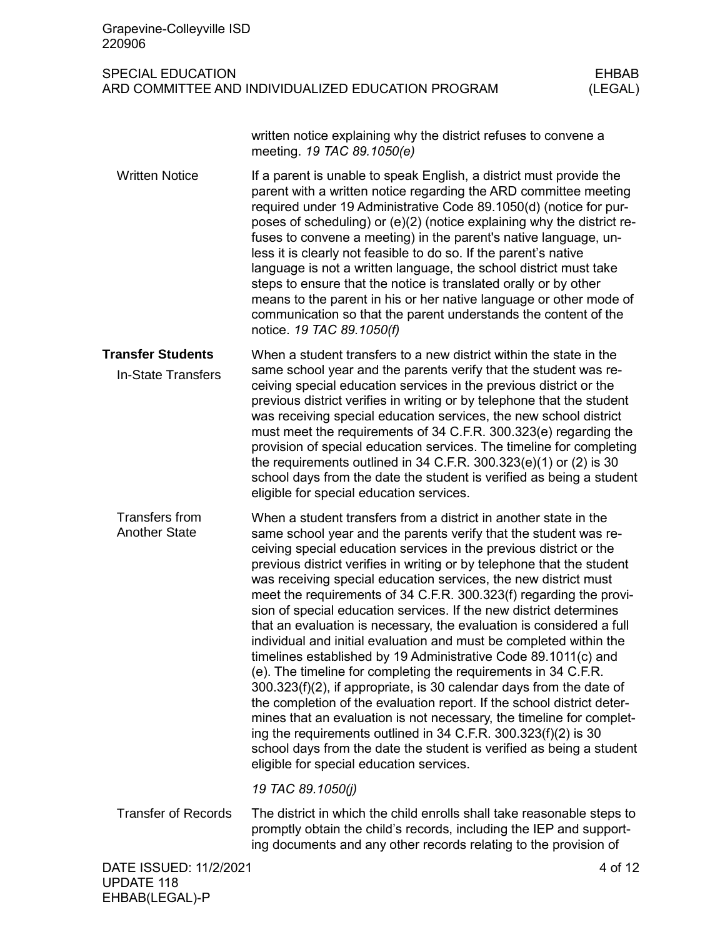| Grapevine-Colleyville ISD<br>220906                                                                       |                                                                                                                                                                                                                                                                                                                                                                                                                                                                                                                                                                                                                                                                                                                                                                                                                                                                                                                                                                                                                                                                                                                                                                                                          |         |  |  |
|-----------------------------------------------------------------------------------------------------------|----------------------------------------------------------------------------------------------------------------------------------------------------------------------------------------------------------------------------------------------------------------------------------------------------------------------------------------------------------------------------------------------------------------------------------------------------------------------------------------------------------------------------------------------------------------------------------------------------------------------------------------------------------------------------------------------------------------------------------------------------------------------------------------------------------------------------------------------------------------------------------------------------------------------------------------------------------------------------------------------------------------------------------------------------------------------------------------------------------------------------------------------------------------------------------------------------------|---------|--|--|
| <b>SPECIAL EDUCATION</b><br><b>EHBAB</b><br>ARD COMMITTEE AND INDIVIDUALIZED EDUCATION PROGRAM<br>(LEGAL) |                                                                                                                                                                                                                                                                                                                                                                                                                                                                                                                                                                                                                                                                                                                                                                                                                                                                                                                                                                                                                                                                                                                                                                                                          |         |  |  |
|                                                                                                           | written notice explaining why the district refuses to convene a<br>meeting. 19 TAC 89.1050(e)                                                                                                                                                                                                                                                                                                                                                                                                                                                                                                                                                                                                                                                                                                                                                                                                                                                                                                                                                                                                                                                                                                            |         |  |  |
| <b>Written Notice</b>                                                                                     | If a parent is unable to speak English, a district must provide the<br>parent with a written notice regarding the ARD committee meeting<br>required under 19 Administrative Code 89.1050(d) (notice for pur-<br>poses of scheduling) or (e)(2) (notice explaining why the district re-<br>fuses to convene a meeting) in the parent's native language, un-<br>less it is clearly not feasible to do so. If the parent's native<br>language is not a written language, the school district must take<br>steps to ensure that the notice is translated orally or by other<br>means to the parent in his or her native language or other mode of<br>communication so that the parent understands the content of the<br>notice. 19 TAC 89.1050(f)                                                                                                                                                                                                                                                                                                                                                                                                                                                            |         |  |  |
| <b>Transfer Students</b>                                                                                  | When a student transfers to a new district within the state in the                                                                                                                                                                                                                                                                                                                                                                                                                                                                                                                                                                                                                                                                                                                                                                                                                                                                                                                                                                                                                                                                                                                                       |         |  |  |
| <b>In-State Transfers</b>                                                                                 | same school year and the parents verify that the student was re-<br>ceiving special education services in the previous district or the<br>previous district verifies in writing or by telephone that the student<br>was receiving special education services, the new school district<br>must meet the requirements of 34 C.F.R. 300.323(e) regarding the<br>provision of special education services. The timeline for completing<br>the requirements outlined in 34 C.F.R. 300.323(e)(1) or (2) is 30<br>school days from the date the student is verified as being a student<br>eligible for special education services.                                                                                                                                                                                                                                                                                                                                                                                                                                                                                                                                                                               |         |  |  |
| <b>Transfers from</b><br><b>Another State</b>                                                             | When a student transfers from a district in another state in the<br>same school year and the parents verify that the student was re-<br>ceiving special education services in the previous district or the<br>previous district verifies in writing or by telephone that the student<br>was receiving special education services, the new district must<br>meet the requirements of 34 C.F.R. 300.323(f) regarding the provi-<br>sion of special education services. If the new district determines<br>that an evaluation is necessary, the evaluation is considered a full<br>individual and initial evaluation and must be completed within the<br>timelines established by 19 Administrative Code 89.1011(c) and<br>(e). The timeline for completing the requirements in 34 C.F.R.<br>300.323(f)(2), if appropriate, is 30 calendar days from the date of<br>the completion of the evaluation report. If the school district deter-<br>mines that an evaluation is not necessary, the timeline for complet-<br>ing the requirements outlined in $34$ C.F.R. $300.323(f)(2)$ is 30<br>school days from the date the student is verified as being a student<br>eligible for special education services. |         |  |  |
|                                                                                                           | 19 TAC 89.1050(j)                                                                                                                                                                                                                                                                                                                                                                                                                                                                                                                                                                                                                                                                                                                                                                                                                                                                                                                                                                                                                                                                                                                                                                                        |         |  |  |
| <b>Transfer of Records</b>                                                                                | The district in which the child enrolls shall take reasonable steps to<br>promptly obtain the child's records, including the IEP and support-<br>ing documents and any other records relating to the provision of                                                                                                                                                                                                                                                                                                                                                                                                                                                                                                                                                                                                                                                                                                                                                                                                                                                                                                                                                                                        |         |  |  |
| DATE ISSUED: 11/2/2021                                                                                    |                                                                                                                                                                                                                                                                                                                                                                                                                                                                                                                                                                                                                                                                                                                                                                                                                                                                                                                                                                                                                                                                                                                                                                                                          | 4 of 12 |  |  |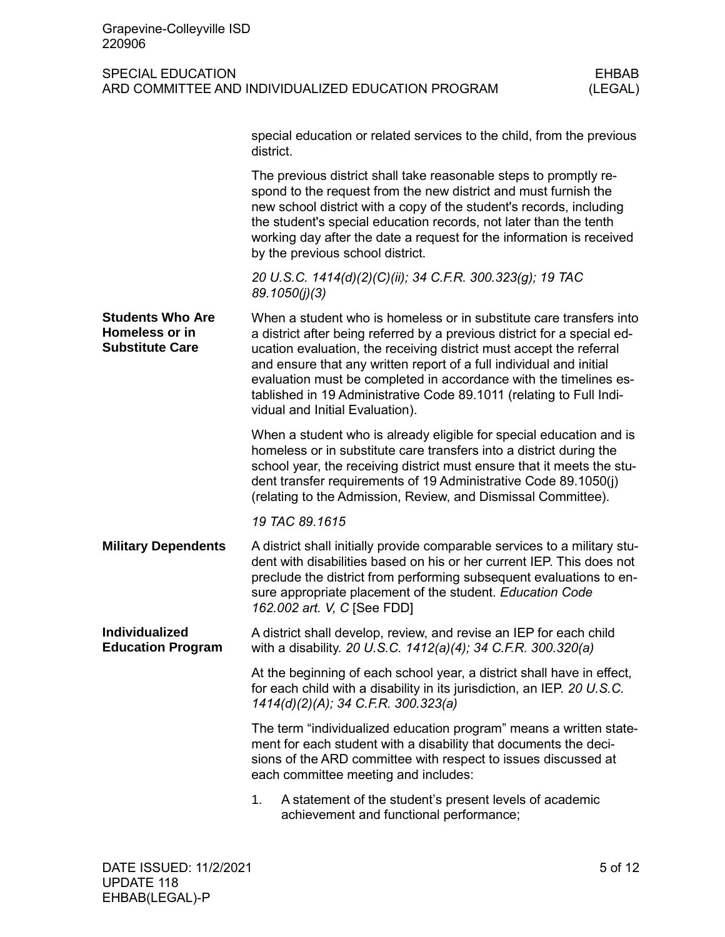| Grapevine-Colleyville ISD<br>220906                                                                       |                                                                                                                                                                                                                                                                                                                                                                                                                                                                              |  |  |  |
|-----------------------------------------------------------------------------------------------------------|------------------------------------------------------------------------------------------------------------------------------------------------------------------------------------------------------------------------------------------------------------------------------------------------------------------------------------------------------------------------------------------------------------------------------------------------------------------------------|--|--|--|
| <b>SPECIAL EDUCATION</b><br><b>EHBAB</b><br>ARD COMMITTEE AND INDIVIDUALIZED EDUCATION PROGRAM<br>(LEGAL) |                                                                                                                                                                                                                                                                                                                                                                                                                                                                              |  |  |  |
|                                                                                                           | special education or related services to the child, from the previous<br>district.                                                                                                                                                                                                                                                                                                                                                                                           |  |  |  |
|                                                                                                           | The previous district shall take reasonable steps to promptly re-<br>spond to the request from the new district and must furnish the<br>new school district with a copy of the student's records, including<br>the student's special education records, not later than the tenth<br>working day after the date a request for the information is received<br>by the previous school district.                                                                                 |  |  |  |
|                                                                                                           | 20 U.S.C. 1414(d)(2)(C)(ii); 34 C.F.R. 300.323(g); 19 TAC<br>89.1050(j)(3)                                                                                                                                                                                                                                                                                                                                                                                                   |  |  |  |
| <b>Students Who Are</b><br>Homeless or in<br><b>Substitute Care</b>                                       | When a student who is homeless or in substitute care transfers into<br>a district after being referred by a previous district for a special ed-<br>ucation evaluation, the receiving district must accept the referral<br>and ensure that any written report of a full individual and initial<br>evaluation must be completed in accordance with the timelines es-<br>tablished in 19 Administrative Code 89.1011 (relating to Full Indi-<br>vidual and Initial Evaluation). |  |  |  |
|                                                                                                           | When a student who is already eligible for special education and is<br>homeless or in substitute care transfers into a district during the<br>school year, the receiving district must ensure that it meets the stu-<br>dent transfer requirements of 19 Administrative Code 89.1050(j)<br>(relating to the Admission, Review, and Dismissal Committee).                                                                                                                     |  |  |  |
|                                                                                                           | 19 TAC 89.1615                                                                                                                                                                                                                                                                                                                                                                                                                                                               |  |  |  |
| <b>Military Dependents</b>                                                                                | A district shall initially provide comparable services to a military stu-<br>dent with disabilities based on his or her current IEP. This does not<br>preclude the district from performing subsequent evaluations to en-<br>sure appropriate placement of the student. Education Code<br>162.002 art. V, C [See FDD]                                                                                                                                                        |  |  |  |
| <b>Individualized</b><br><b>Education Program</b>                                                         | A district shall develop, review, and revise an IEP for each child<br>with a disability. 20 U.S.C. 1412(a)(4); 34 C.F.R. 300.320(a)                                                                                                                                                                                                                                                                                                                                          |  |  |  |
|                                                                                                           | At the beginning of each school year, a district shall have in effect,<br>for each child with a disability in its jurisdiction, an IEP. 20 U.S.C.<br>1414(d)(2)(A); 34 C.F.R. 300.323(a)                                                                                                                                                                                                                                                                                     |  |  |  |
|                                                                                                           | The term "individualized education program" means a written state-<br>ment for each student with a disability that documents the deci-<br>sions of the ARD committee with respect to issues discussed at<br>each committee meeting and includes:                                                                                                                                                                                                                             |  |  |  |
|                                                                                                           | 1.<br>A statement of the student's present levels of academic<br>achievement and functional performance;                                                                                                                                                                                                                                                                                                                                                                     |  |  |  |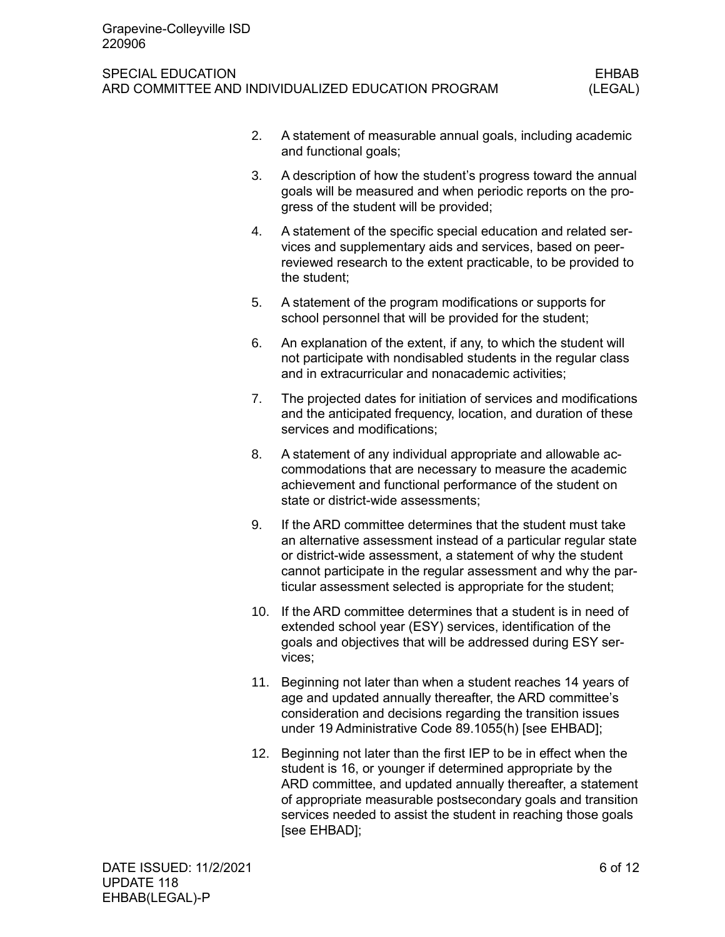## SPECIAL EDUCATION AND INTERNATION CONTROL CONTROL CONTROL CHIEF AND THE SPECIAL EDUCATION ARD COMMITTEE AND INDIVIDUALIZED EDUCATION PROGRAM (LEGAL)

- 2. A statement of measurable annual goals, including academic and functional goals;
- 3. A description of how the student's progress toward the annual goals will be measured and when periodic reports on the progress of the student will be provided;
- 4. A statement of the specific special education and related services and supplementary aids and services, based on peerreviewed research to the extent practicable, to be provided to the student;
- 5. A statement of the program modifications or supports for school personnel that will be provided for the student;
- 6. An explanation of the extent, if any, to which the student will not participate with nondisabled students in the regular class and in extracurricular and nonacademic activities;
- 7. The projected dates for initiation of services and modifications and the anticipated frequency, location, and duration of these services and modifications;
- 8. A statement of any individual appropriate and allowable accommodations that are necessary to measure the academic achievement and functional performance of the student on state or district-wide assessments;
- 9. If the ARD committee determines that the student must take an alternative assessment instead of a particular regular state or district-wide assessment, a statement of why the student cannot participate in the regular assessment and why the particular assessment selected is appropriate for the student;
- 10. If the ARD committee determines that a student is in need of extended school year (ESY) services, identification of the goals and objectives that will be addressed during ESY services;
- 11. Beginning not later than when a student reaches 14 years of age and updated annually thereafter, the ARD committee's consideration and decisions regarding the transition issues under 19 Administrative Code 89.1055(h) [see EHBAD];
- 12. Beginning not later than the first IEP to be in effect when the student is 16, or younger if determined appropriate by the ARD committee, and updated annually thereafter, a statement of appropriate measurable postsecondary goals and transition services needed to assist the student in reaching those goals [see EHBAD];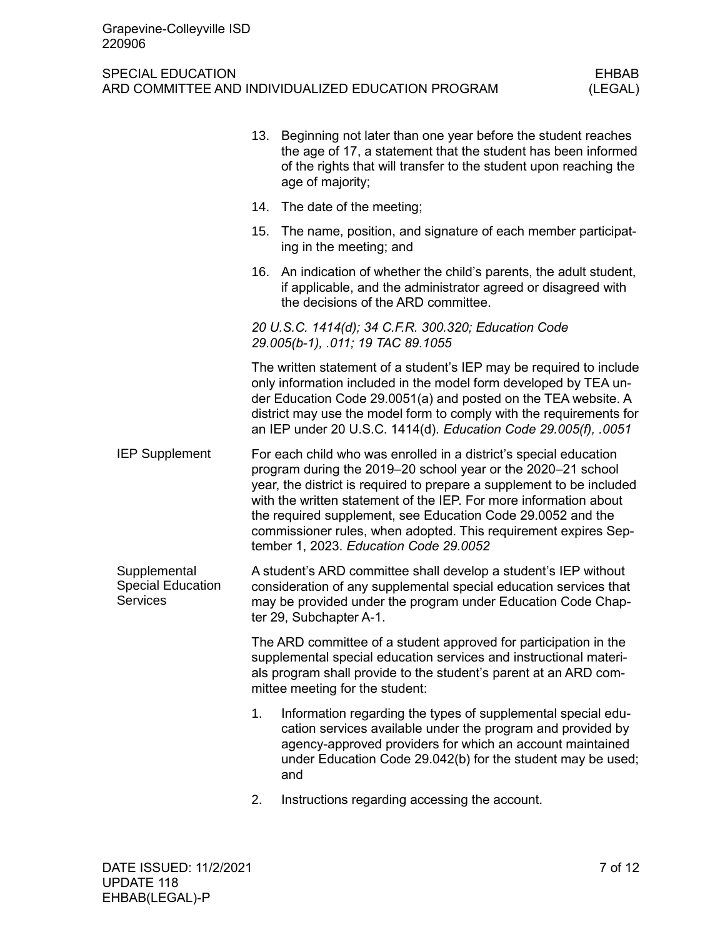|                                                             |     | 13. Beginning not later than one year before the student reaches<br>the age of 17, a statement that the student has been informed<br>of the rights that will transfer to the student upon reaching the<br>age of majority;                                                                                                                                                                                                                                  |
|-------------------------------------------------------------|-----|-------------------------------------------------------------------------------------------------------------------------------------------------------------------------------------------------------------------------------------------------------------------------------------------------------------------------------------------------------------------------------------------------------------------------------------------------------------|
|                                                             | 14. | The date of the meeting;                                                                                                                                                                                                                                                                                                                                                                                                                                    |
|                                                             | 15. | The name, position, and signature of each member participat-<br>ing in the meeting; and                                                                                                                                                                                                                                                                                                                                                                     |
|                                                             | 16. | An indication of whether the child's parents, the adult student,<br>if applicable, and the administrator agreed or disagreed with<br>the decisions of the ARD committee.                                                                                                                                                                                                                                                                                    |
|                                                             |     | 20 U.S.C. 1414(d); 34 C.F.R. 300.320; Education Code<br>29.005(b-1), .011; 19 TAC 89.1055                                                                                                                                                                                                                                                                                                                                                                   |
|                                                             |     | The written statement of a student's IEP may be required to include<br>only information included in the model form developed by TEA un-<br>der Education Code 29.0051(a) and posted on the TEA website. A<br>district may use the model form to comply with the requirements for<br>an IEP under 20 U.S.C. 1414(d). Education Code 29.005(f), .0051                                                                                                         |
| <b>IEP Supplement</b>                                       |     | For each child who was enrolled in a district's special education<br>program during the 2019–20 school year or the 2020–21 school<br>year, the district is required to prepare a supplement to be included<br>with the written statement of the IEP. For more information about<br>the required supplement, see Education Code 29.0052 and the<br>commissioner rules, when adopted. This requirement expires Sep-<br>tember 1, 2023. Education Code 29.0052 |
| Supplemental<br><b>Special Education</b><br><b>Services</b> |     | A student's ARD committee shall develop a student's IEP without<br>consideration of any supplemental special education services that<br>may be provided under the program under Education Code Chap-<br>ter 29, Subchapter A-1.                                                                                                                                                                                                                             |
|                                                             |     | The ARD committee of a student approved for participation in the<br>supplemental special education services and instructional materi-<br>als program shall provide to the student's parent at an ARD com-<br>mittee meeting for the student:                                                                                                                                                                                                                |
|                                                             | 1.  | Information regarding the types of supplemental special edu-<br>cation services available under the program and provided by<br>agency-approved providers for which an account maintained<br>under Education Code 29.042(b) for the student may be used;<br>and                                                                                                                                                                                              |
|                                                             | 2.  | Instructions regarding accessing the account.                                                                                                                                                                                                                                                                                                                                                                                                               |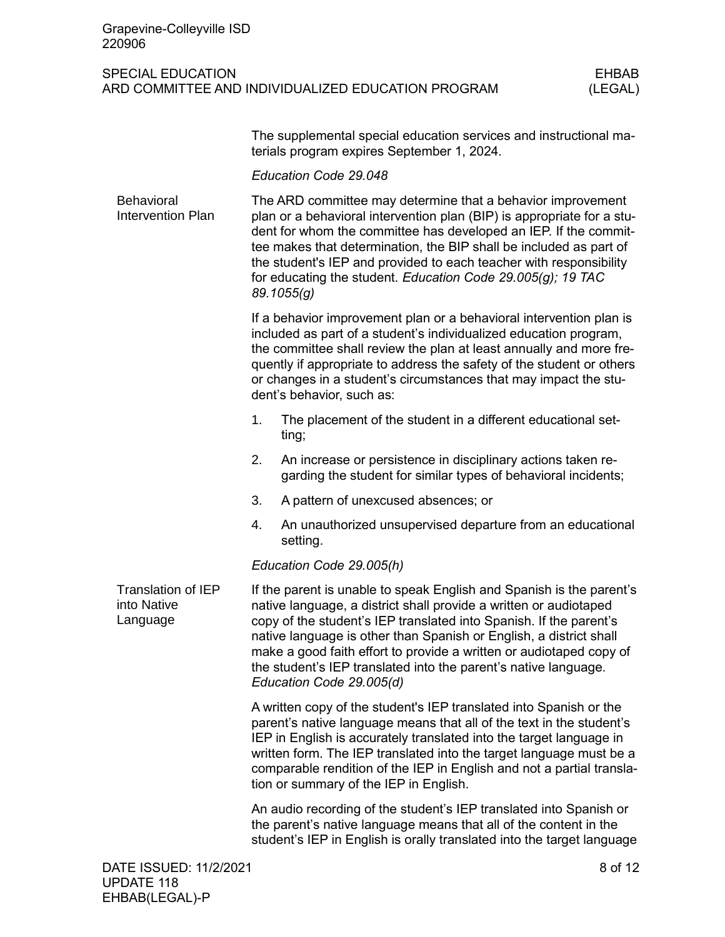| Grapevine-Colleyville ISD<br>220906                  |                                                                                                                                                                                                                                                                                                                                                                                                                                                             |                                                                                                                                                                                                                   |                         |  |
|------------------------------------------------------|-------------------------------------------------------------------------------------------------------------------------------------------------------------------------------------------------------------------------------------------------------------------------------------------------------------------------------------------------------------------------------------------------------------------------------------------------------------|-------------------------------------------------------------------------------------------------------------------------------------------------------------------------------------------------------------------|-------------------------|--|
| <b>SPECIAL EDUCATION</b>                             |                                                                                                                                                                                                                                                                                                                                                                                                                                                             | ARD COMMITTEE AND INDIVIDUALIZED EDUCATION PROGRAM                                                                                                                                                                | <b>EHBAB</b><br>(LEGAL) |  |
|                                                      |                                                                                                                                                                                                                                                                                                                                                                                                                                                             | The supplemental special education services and instructional ma-<br>terials program expires September 1, 2024.                                                                                                   |                         |  |
|                                                      |                                                                                                                                                                                                                                                                                                                                                                                                                                                             | Education Code 29.048                                                                                                                                                                                             |                         |  |
| Behavioral<br><b>Intervention Plan</b>               | The ARD committee may determine that a behavior improvement<br>plan or a behavioral intervention plan (BIP) is appropriate for a stu-<br>dent for whom the committee has developed an IEP. If the commit-<br>tee makes that determination, the BIP shall be included as part of<br>the student's IEP and provided to each teacher with responsibility<br>for educating the student. Education Code 29.005(g); 19 TAC<br>89.1055(g)                          |                                                                                                                                                                                                                   |                         |  |
|                                                      | If a behavior improvement plan or a behavioral intervention plan is<br>included as part of a student's individualized education program,<br>the committee shall review the plan at least annually and more fre-<br>quently if appropriate to address the safety of the student or others<br>or changes in a student's circumstances that may impact the stu-<br>dent's behavior, such as:                                                                   |                                                                                                                                                                                                                   |                         |  |
|                                                      | 1.                                                                                                                                                                                                                                                                                                                                                                                                                                                          | The placement of the student in a different educational set-<br>ting;                                                                                                                                             |                         |  |
|                                                      | 2.                                                                                                                                                                                                                                                                                                                                                                                                                                                          | An increase or persistence in disciplinary actions taken re-<br>garding the student for similar types of behavioral incidents;                                                                                    |                         |  |
|                                                      | 3.                                                                                                                                                                                                                                                                                                                                                                                                                                                          | A pattern of unexcused absences; or                                                                                                                                                                               |                         |  |
|                                                      | 4.                                                                                                                                                                                                                                                                                                                                                                                                                                                          | An unauthorized unsupervised departure from an educational<br>setting.                                                                                                                                            |                         |  |
|                                                      | Education Code 29.005(h)                                                                                                                                                                                                                                                                                                                                                                                                                                    |                                                                                                                                                                                                                   |                         |  |
| <b>Translation of IEP</b><br>into Native<br>Language | If the parent is unable to speak English and Spanish is the parent's<br>native language, a district shall provide a written or audiotaped<br>copy of the student's IEP translated into Spanish. If the parent's<br>native language is other than Spanish or English, a district shall<br>make a good faith effort to provide a written or audiotaped copy of<br>the student's IEP translated into the parent's native language.<br>Education Code 29.005(d) |                                                                                                                                                                                                                   |                         |  |
|                                                      | A written copy of the student's IEP translated into Spanish or the<br>parent's native language means that all of the text in the student's<br>IEP in English is accurately translated into the target language in<br>written form. The IEP translated into the target language must be a<br>comparable rendition of the IEP in English and not a partial transla-<br>tion or summary of the IEP in English.                                                 |                                                                                                                                                                                                                   |                         |  |
|                                                      |                                                                                                                                                                                                                                                                                                                                                                                                                                                             | An audio recording of the student's IEP translated into Spanish or<br>the parent's native language means that all of the content in the<br>student's IEP in English is orally translated into the target language |                         |  |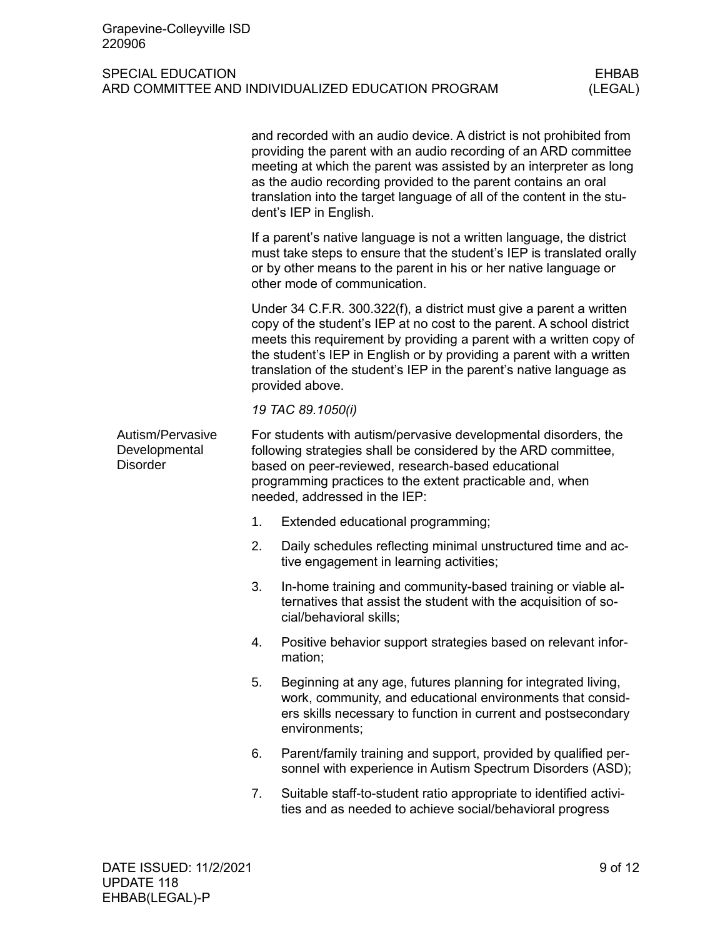|                                                      |    | and recorded with an audio device. A district is not prohibited from<br>providing the parent with an audio recording of an ARD committee<br>meeting at which the parent was assisted by an interpreter as long<br>as the audio recording provided to the parent contains an oral<br>translation into the target language of all of the content in the stu-<br>dent's IEP in English.  |  |  |  |  |
|------------------------------------------------------|----|---------------------------------------------------------------------------------------------------------------------------------------------------------------------------------------------------------------------------------------------------------------------------------------------------------------------------------------------------------------------------------------|--|--|--|--|
|                                                      |    | If a parent's native language is not a written language, the district<br>must take steps to ensure that the student's IEP is translated orally<br>or by other means to the parent in his or her native language or<br>other mode of communication.                                                                                                                                    |  |  |  |  |
|                                                      |    | Under 34 C.F.R. 300.322(f), a district must give a parent a written<br>copy of the student's IEP at no cost to the parent. A school district<br>meets this requirement by providing a parent with a written copy of<br>the student's IEP in English or by providing a parent with a written<br>translation of the student's IEP in the parent's native language as<br>provided above. |  |  |  |  |
|                                                      |    | 19 TAC 89.1050(i)                                                                                                                                                                                                                                                                                                                                                                     |  |  |  |  |
| Autism/Pervasive<br>Developmental<br><b>Disorder</b> |    | For students with autism/pervasive developmental disorders, the<br>following strategies shall be considered by the ARD committee,<br>based on peer-reviewed, research-based educational<br>programming practices to the extent practicable and, when<br>needed, addressed in the IEP:                                                                                                 |  |  |  |  |
|                                                      | 1. | Extended educational programming;                                                                                                                                                                                                                                                                                                                                                     |  |  |  |  |
|                                                      | 2. | Daily schedules reflecting minimal unstructured time and ac-<br>tive engagement in learning activities;                                                                                                                                                                                                                                                                               |  |  |  |  |
|                                                      | 3. | In-home training and community-based training or viable al-<br>ternatives that assist the student with the acquisition of so-<br>cial/behavioral skills;                                                                                                                                                                                                                              |  |  |  |  |
|                                                      | 4. | Positive behavior support strategies based on relevant infor-<br>mation;                                                                                                                                                                                                                                                                                                              |  |  |  |  |
|                                                      | 5. | Beginning at any age, futures planning for integrated living,<br>work, community, and educational environments that consid-<br>ers skills necessary to function in current and postsecondary<br>environments;                                                                                                                                                                         |  |  |  |  |
|                                                      | 6. | Parent/family training and support, provided by qualified per-<br>sonnel with experience in Autism Spectrum Disorders (ASD);                                                                                                                                                                                                                                                          |  |  |  |  |
|                                                      | 7. | Suitable staff-to-student ratio appropriate to identified activi-<br>ties and as needed to achieve social/behavioral progress                                                                                                                                                                                                                                                         |  |  |  |  |
|                                                      |    |                                                                                                                                                                                                                                                                                                                                                                                       |  |  |  |  |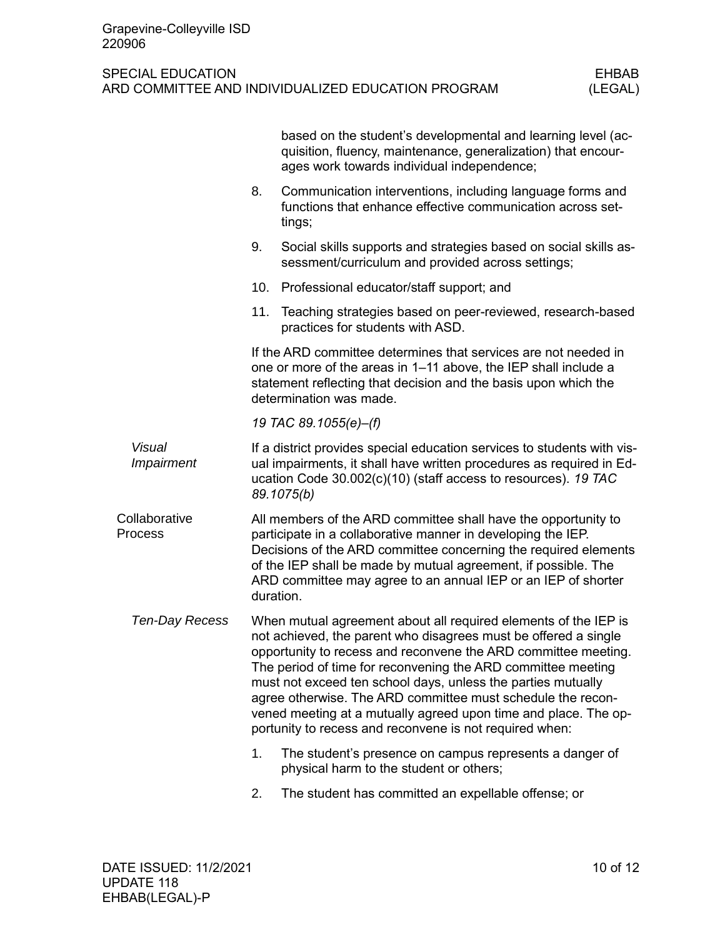|                                           |                                                                                                                                                                                                                                                                                                                                                                                                                                                                                                                                   | based on the student's developmental and learning level (ac-<br>quisition, fluency, maintenance, generalization) that encour-<br>ages work towards individual independence;                                                                                                                                                                       |
|-------------------------------------------|-----------------------------------------------------------------------------------------------------------------------------------------------------------------------------------------------------------------------------------------------------------------------------------------------------------------------------------------------------------------------------------------------------------------------------------------------------------------------------------------------------------------------------------|---------------------------------------------------------------------------------------------------------------------------------------------------------------------------------------------------------------------------------------------------------------------------------------------------------------------------------------------------|
|                                           | 8.                                                                                                                                                                                                                                                                                                                                                                                                                                                                                                                                | Communication interventions, including language forms and<br>functions that enhance effective communication across set-<br>tings;                                                                                                                                                                                                                 |
|                                           | 9.                                                                                                                                                                                                                                                                                                                                                                                                                                                                                                                                | Social skills supports and strategies based on social skills as-<br>sessment/curriculum and provided across settings;                                                                                                                                                                                                                             |
|                                           | 10.                                                                                                                                                                                                                                                                                                                                                                                                                                                                                                                               | Professional educator/staff support; and                                                                                                                                                                                                                                                                                                          |
|                                           | 11.                                                                                                                                                                                                                                                                                                                                                                                                                                                                                                                               | Teaching strategies based on peer-reviewed, research-based<br>practices for students with ASD.                                                                                                                                                                                                                                                    |
|                                           |                                                                                                                                                                                                                                                                                                                                                                                                                                                                                                                                   | If the ARD committee determines that services are not needed in<br>one or more of the areas in 1-11 above, the IEP shall include a<br>statement reflecting that decision and the basis upon which the<br>determination was made.                                                                                                                  |
|                                           |                                                                                                                                                                                                                                                                                                                                                                                                                                                                                                                                   | 19 TAC 89.1055(e)-(f)                                                                                                                                                                                                                                                                                                                             |
| <b>Visual</b><br><i><b>Impairment</b></i> |                                                                                                                                                                                                                                                                                                                                                                                                                                                                                                                                   | If a district provides special education services to students with vis-<br>ual impairments, it shall have written procedures as required in Ed-<br>ucation Code 30.002(c)(10) (staff access to resources). 19 TAC<br>89.1075(b)                                                                                                                   |
| Collaborative<br>Process                  |                                                                                                                                                                                                                                                                                                                                                                                                                                                                                                                                   | All members of the ARD committee shall have the opportunity to<br>participate in a collaborative manner in developing the IEP.<br>Decisions of the ARD committee concerning the required elements<br>of the IEP shall be made by mutual agreement, if possible. The<br>ARD committee may agree to an annual IEP or an IEP of shorter<br>duration. |
| Ten-Day Recess                            | When mutual agreement about all required elements of the IEP is<br>not achieved, the parent who disagrees must be offered a single<br>opportunity to recess and reconvene the ARD committee meeting.<br>The period of time for reconvening the ARD committee meeting<br>must not exceed ten school days, unless the parties mutually<br>agree otherwise. The ARD committee must schedule the recon-<br>vened meeting at a mutually agreed upon time and place. The op-<br>portunity to recess and reconvene is not required when: |                                                                                                                                                                                                                                                                                                                                                   |
|                                           | 1.                                                                                                                                                                                                                                                                                                                                                                                                                                                                                                                                | The student's presence on campus represents a danger of<br>physical harm to the student or others;                                                                                                                                                                                                                                                |
|                                           | 2.                                                                                                                                                                                                                                                                                                                                                                                                                                                                                                                                | The student has committed an expellable offense; or                                                                                                                                                                                                                                                                                               |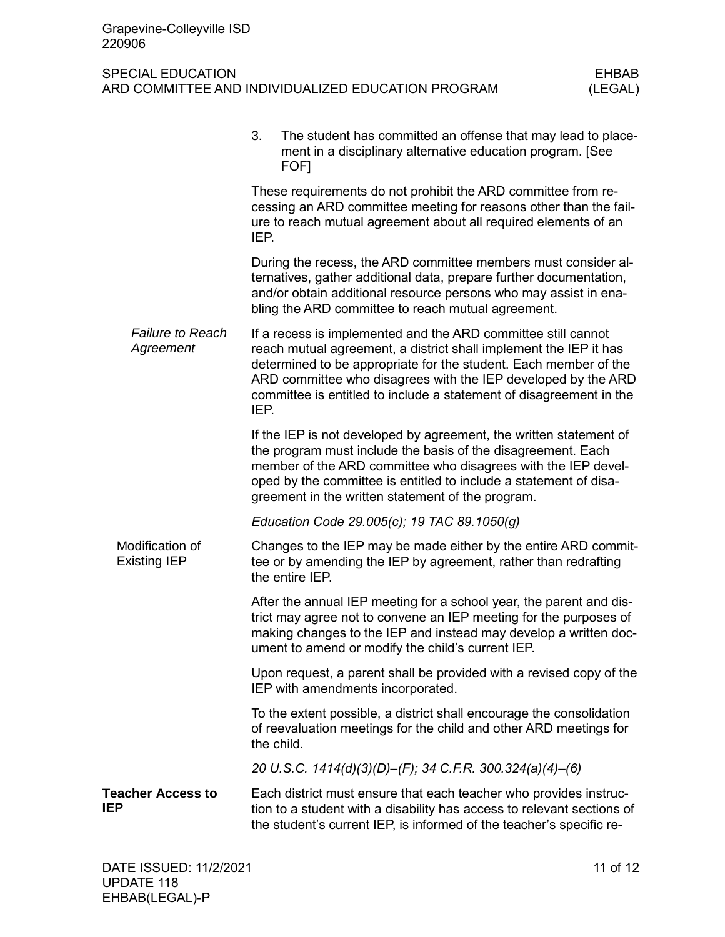## SPECIAL EDUCATION<br>ARD COMMITTEE AND INDIVIDUALIZED EDUCATION PROGRAM (LEGAL) ARD COMMITTEE AND INDIVIDUALIZED EDUCATION PROGRAM

|                                        | 3.<br>The student has committed an offense that may lead to place-<br>ment in a disciplinary alternative education program. [See<br>FOF1                                                                                                                                                                                                               |  |  |  |
|----------------------------------------|--------------------------------------------------------------------------------------------------------------------------------------------------------------------------------------------------------------------------------------------------------------------------------------------------------------------------------------------------------|--|--|--|
|                                        | These requirements do not prohibit the ARD committee from re-<br>cessing an ARD committee meeting for reasons other than the fail-<br>ure to reach mutual agreement about all required elements of an<br>IEP.                                                                                                                                          |  |  |  |
|                                        | During the recess, the ARD committee members must consider al-<br>ternatives, gather additional data, prepare further documentation,<br>and/or obtain additional resource persons who may assist in ena-<br>bling the ARD committee to reach mutual agreement.                                                                                         |  |  |  |
| <b>Failure to Reach</b><br>Agreement   | If a recess is implemented and the ARD committee still cannot<br>reach mutual agreement, a district shall implement the IEP it has<br>determined to be appropriate for the student. Each member of the<br>ARD committee who disagrees with the IEP developed by the ARD<br>committee is entitled to include a statement of disagreement in the<br>IEP. |  |  |  |
|                                        | If the IEP is not developed by agreement, the written statement of<br>the program must include the basis of the disagreement. Each<br>member of the ARD committee who disagrees with the IEP devel-<br>oped by the committee is entitled to include a statement of disa-<br>greement in the written statement of the program.                          |  |  |  |
|                                        | Education Code 29.005(c); 19 TAC 89.1050(g)                                                                                                                                                                                                                                                                                                            |  |  |  |
| Modification of<br><b>Existing IEP</b> | Changes to the IEP may be made either by the entire ARD commit-<br>tee or by amending the IEP by agreement, rather than redrafting<br>the entire IEP.                                                                                                                                                                                                  |  |  |  |
|                                        | After the annual IEP meeting for a school year, the parent and dis-<br>trict may agree not to convene an IEP meeting for the purposes of<br>making changes to the IEP and instead may develop a written doc-<br>ument to amend or modify the child's current IEP.                                                                                      |  |  |  |
|                                        | Upon request, a parent shall be provided with a revised copy of the<br>IEP with amendments incorporated.                                                                                                                                                                                                                                               |  |  |  |
|                                        | To the extent possible, a district shall encourage the consolidation<br>of reevaluation meetings for the child and other ARD meetings for<br>the child.                                                                                                                                                                                                |  |  |  |
|                                        | 20 U.S.C. 1414(d)(3)(D)–(F); 34 C.F.R. 300.324(a)(4)–(6)                                                                                                                                                                                                                                                                                               |  |  |  |
| <b>Teacher Access to</b><br><b>IEP</b> | Each district must ensure that each teacher who provides instruc-<br>tion to a student with a disability has access to relevant sections of<br>the student's current IEP, is informed of the teacher's specific re-                                                                                                                                    |  |  |  |